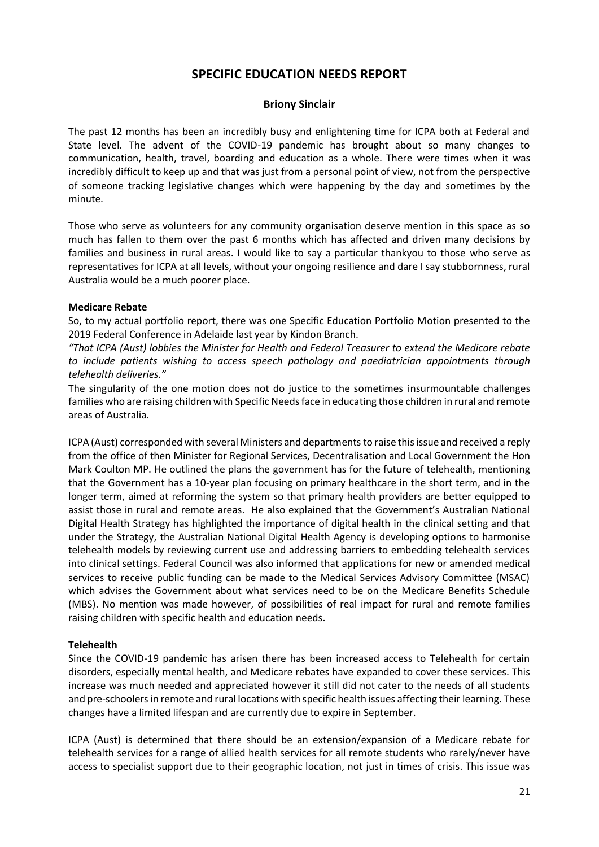# **SPECIFIC EDUCATION NEEDS REPORT**

#### **Briony Sinclair**

The past 12 months has been an incredibly busy and enlightening time for ICPA both at Federal and State level. The advent of the COVID-19 pandemic has brought about so many changes to communication, health, travel, boarding and education as a whole. There were times when it was incredibly difficult to keep up and that was just from a personal point of view, not from the perspective of someone tracking legislative changes which were happening by the day and sometimes by the minute.

Those who serve as volunteers for any community organisation deserve mention in this space as so much has fallen to them over the past 6 months which has affected and driven many decisions by families and business in rural areas. I would like to say a particular thankyou to those who serve as representatives for ICPA at all levels, without your ongoing resilience and dare I say stubbornness, rural Australia would be a much poorer place.

#### **Medicare Rebate**

So, to my actual portfolio report, there was one Specific Education Portfolio Motion presented to the 2019 Federal Conference in Adelaide last year by Kindon Branch.

*"That ICPA (Aust) lobbies the Minister for Health and Federal Treasurer to extend the Medicare rebate to include patients wishing to access speech pathology and paediatrician appointments through telehealth deliveries."*

The singularity of the one motion does not do justice to the sometimes insurmountable challenges families who are raising children with Specific Needs face in educating those children in rural and remote areas of Australia.

ICPA (Aust) corresponded with several Ministers and departments to raise this issue and received a reply from the office of then Minister for Regional Services, Decentralisation and Local Government the Hon Mark Coulton MP. He outlined the plans the government has for the future of telehealth, mentioning that the Government has a 10-year plan focusing on primary healthcare in the short term, and in the longer term, aimed at reforming the system so that primary health providers are better equipped to assist those in rural and remote areas. He also explained that the Government's Australian National Digital Health Strategy has highlighted the importance of digital health in the clinical setting and that under the Strategy, the Australian National Digital Health Agency is developing options to harmonise telehealth models by reviewing current use and addressing barriers to embedding telehealth services into clinical settings. Federal Council was also informed that applications for new or amended medical services to receive public funding can be made to the Medical Services Advisory Committee (MSAC) which advises the Government about what services need to be on the Medicare Benefits Schedule (MBS). No mention was made however, of possibilities of real impact for rural and remote families raising children with specific health and education needs.

# **Telehealth**

Since the COVID-19 pandemic has arisen there has been increased access to Telehealth for certain disorders, especially mental health, and Medicare rebates have expanded to cover these services. This increase was much needed and appreciated however it still did not cater to the needs of all students and pre-schoolers in remote and rural locations with specific health issues affecting their learning. These changes have a limited lifespan and are currently due to expire in September.

ICPA (Aust) is determined that there should be an extension/expansion of a Medicare rebate for telehealth services for a range of allied health services for all remote students who rarely/never have access to specialist support due to their geographic location, not just in times of crisis. This issue was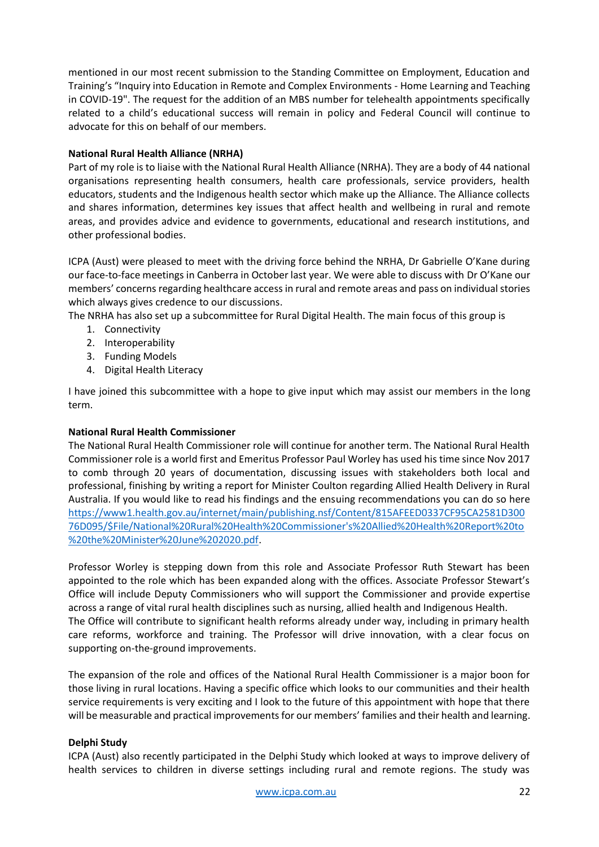mentioned in our most recent submission to the Standing Committee on Employment, Education and Training's "Inquiry into Education in Remote and Complex Environments - Home Learning and Teaching in COVID-19". The request for the addition of an MBS number for telehealth appointments specifically related to a child's educational success will remain in policy and Federal Council will continue to advocate for this on behalf of our members.

# **National Rural Health Alliance (NRHA)**

Part of my role is to liaise with the National Rural Health Alliance (NRHA). They are a body of 44 national organisations representing health consumers, health care professionals, service providers, health educators, students and the Indigenous health sector which make up the Alliance. The Alliance collects and shares information, determines key issues that affect health and wellbeing in rural and remote areas, and provides advice and evidence to governments, educational and research institutions, and other professional bodies.

ICPA (Aust) were pleased to meet with the driving force behind the NRHA, Dr Gabrielle O'Kane during our face-to-face meetings in Canberra in October last year. We were able to discuss with Dr O'Kane our members' concerns regarding healthcare access in rural and remote areas and pass on individual stories which always gives credence to our discussions.

The NRHA has also set up a subcommittee for Rural Digital Health. The main focus of this group is

- 1. Connectivity
- 2. Interoperability
- 3. Funding Models
- 4. Digital Health Literacy

I have joined this subcommittee with a hope to give input which may assist our members in the long term.

# **National Rural Health Commissioner**

The National Rural Health Commissioner role will continue for another term. The National Rural Health Commissioner role is a world first and Emeritus Professor Paul Worley has used his time since Nov 2017 to comb through 20 years of documentation, discussing issues with stakeholders both local and professional, finishing by writing a report for Minister Coulton regarding Allied Health Delivery in Rural Australia. If you would like to read his findings and the ensuing recommendations you can do so here [https://www1.health.gov.au/internet/main/publishing.nsf/Content/815AFEED0337CF95CA2581D300](https://www1.health.gov.au/internet/main/publishing.nsf/Content/815AFEED0337CF95CA2581D30076D095/$File/National%20Rural%20Health%20Commissioner) [76D095/\\$File/National%20Rural%20Health%20Commissioner's%20Allied%20Health%20Report%20to](https://www1.health.gov.au/internet/main/publishing.nsf/Content/815AFEED0337CF95CA2581D30076D095/$File/National%20Rural%20Health%20Commissioner) [%20the%20Minister%20June%202020.pdf.](https://www1.health.gov.au/internet/main/publishing.nsf/Content/815AFEED0337CF95CA2581D30076D095/$File/National%20Rural%20Health%20Commissioner)

Professor Worley is stepping down from this role and Associate Professor Ruth Stewart has been appointed to the role which has been expanded along with the offices. Associate Professor Stewart's Office will include Deputy Commissioners who will support the Commissioner and provide expertise across a range of vital rural health disciplines such as nursing, allied health and Indigenous Health. The Office will contribute to significant health reforms already under way, including in primary health care reforms, workforce and training. The Professor will drive innovation, with a clear focus on supporting on-the-ground improvements.

The expansion of the role and offices of the National Rural Health Commissioner is a major boon for those living in rural locations. Having a specific office which looks to our communities and their health service requirements is very exciting and I look to the future of this appointment with hope that there will be measurable and practical improvements for our members' families and their health and learning.

# **Delphi Study**

ICPA (Aust) also recently participated in the Delphi Study which looked at ways to improve delivery of health services to children in diverse settings including rural and remote regions. The study was